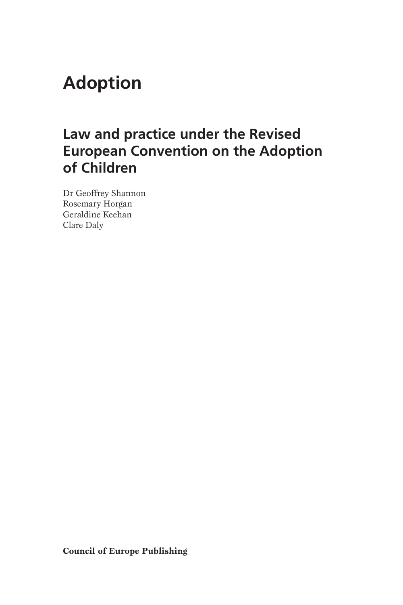# **Adoption**

## **Law and practice under the Revised European Convention on the Adoption of Children**

Dr Geoffrey Shannon Rosemary Horgan Geraldine Keehan Clare Daly

**Council of Europe Publishing**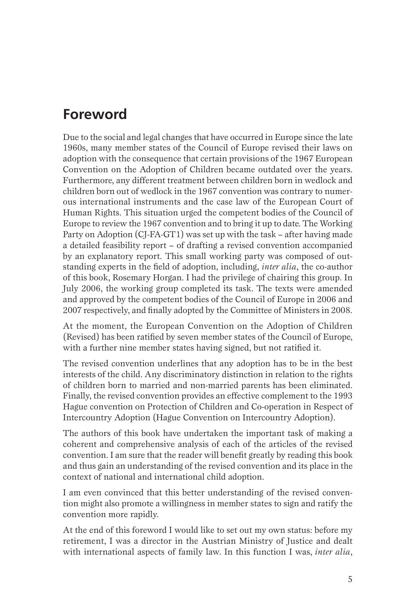### **Foreword**

Due to the social and legal changes that have occurred in Europe since the late 1960s, many member states of the Council of Europe revised their laws on adoption with the consequence that certain provisions of the 1967 European Convention on the Adoption of Children became outdated over the years. Furthermore, any different treatment between children born in wedlock and children born out of wedlock in the 1967 convention was contrary to numerous international instruments and the case law of the European Court of Human Rights. This situation urged the competent bodies of the Council of Europe to review the 1967 convention and to bring it up to date. The Working Party on Adoption (CJ-FA-GT1) was set up with the task – after having made a detailed feasibility report – of drafting a revised convention accompanied by an explanatory report. This small working party was composed of outstanding experts in the feld of adoption, including, *inter alia*, the co-author of this book, Rosemary Horgan. I had the privilege of chairing this group. In July 2006, the working group completed its task. The texts were amended and approved by the competent bodies of the Council of Europe in 2006 and 2007 respectively, and fnally adopted by the Committee of Ministers in 2008.

At the moment, the European Convention on the Adoption of Children (Revised) has been ratifed by seven member states of the Council of Europe, with a further nine member states having signed, but not ratifed it.

The revised convention underlines that any adoption has to be in the best interests of the child. Any discriminatory distinction in relation to the rights of children born to married and non-married parents has been eliminated. Finally, the revised convention provides an effective complement to the 1993 Hague convention on Protection of Children and Co-operation in Respect of Intercountry Adoption (Hague Convention on Intercountry Adoption).

The authors of this book have undertaken the important task of making a coherent and comprehensive analysis of each of the articles of the revised convention. I am sure that the reader will beneft greatly by reading this book and thus gain an understanding of the revised convention and its place in the context of national and international child adoption.

I am even convinced that this better understanding of the revised convention might also promote a willingness in member states to sign and ratify the convention more rapidly.

At the end of this foreword I would like to set out my own status: before my retirement, I was a director in the Austrian Ministry of Justice and dealt with international aspects of family law. In this function I was, *inter alia*,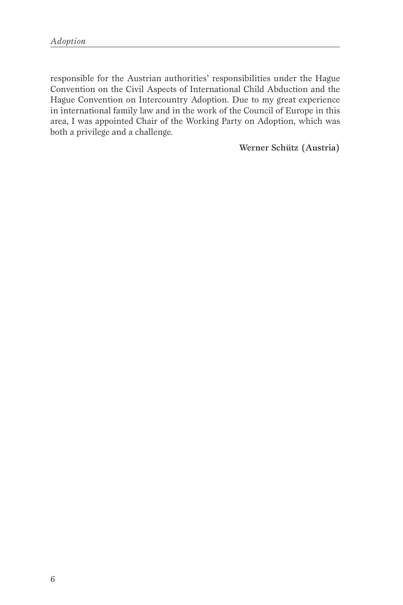responsible for the Austrian authorities' responsibilities under the Hague Convention on the Civil Aspects of International Child Abduction and the Hague Convention on Intercountry Adoption. Due to my great experience in international family law and in the work of the Council of Europe in this area, I was appointed Chair of the Working Party on Adoption, which was both a privilege and a challenge.

Werner Schütz (Austria)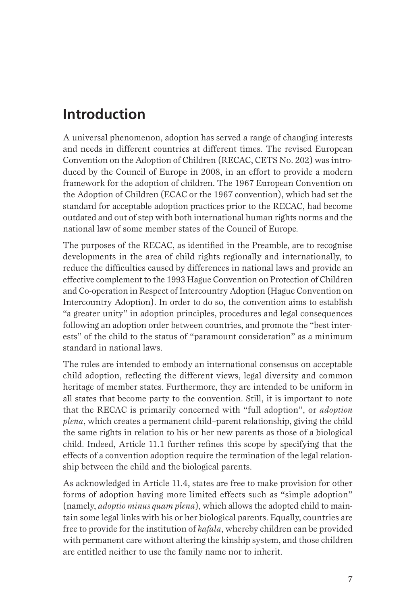### **Introduction**

A universal phenomenon, adoption has served a range of changing interests and needs in different countries at different times. The revised European Convention on the Adoption of Children (RECAC, CETS No. 202) was introduced by the Council of Europe in 2008, in an effort to provide a modern framework for the adoption of children. The 1967 European Convention on the Adoption of Children (ECAC or the 1967 convention), which had set the standard for acceptable adoption practices prior to the RECAC, had become outdated and out of step with both international human rights norms and the national law of some member states of the Council of Europe.

The purposes of the RECAC, as identifed in the Preamble, are to recognise developments in the area of child rights regionally and internationally, to reduce the diffculties caused by differences in national laws and provide an effective complement to the 1993 Hague Convention on Protection of Children and Co-operation in Respect of Intercountry Adoption (Hague Convention on Intercountry Adoption). In order to do so, the convention aims to establish "a greater unity" in adoption principles, procedures and legal consequences following an adoption order between countries, and promote the "best interests" of the child to the status of "paramount consideration" as a minimum standard in national laws.

The rules are intended to embody an international consensus on acceptable child adoption, refecting the different views, legal diversity and common heritage of member states. Furthermore, they are intended to be uniform in all states that become party to the convention. Still, it is important to note that the RECAC is primarily concerned with "full adoption", or *adoption plena*, which creates a permanent child–parent relationship, giving the child the same rights in relation to his or her new parents as those of a biological child. Indeed, Article 11.1 further refnes this scope by specifying that the effects of a convention adoption require the termination of the legal relationship between the child and the biological parents.

As acknowledged in Article 11.4, states are free to make provision for other forms of adoption having more limited effects such as "simple adoption" (namely, *adoptio minus quam plena*), which allows the adopted child to maintain some legal links with his or her biological parents. Equally, countries are free to provide for the institution of *kafala*, whereby children can be provided with permanent care without altering the kinship system, and those children are entitled neither to use the family name nor to inherit.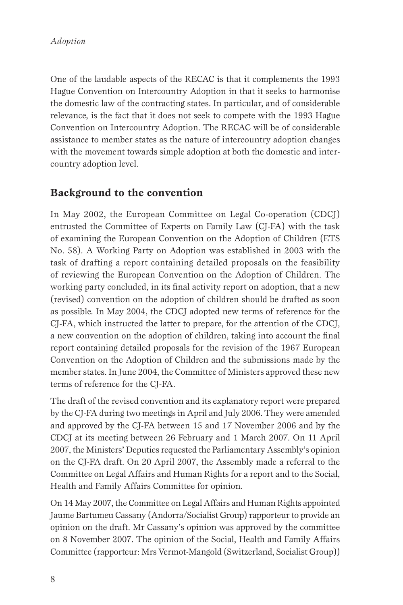One of the laudable aspects of the RECAC is that it complements the 1993 Hague Convention on Intercountry Adoption in that it seeks to harmonise the domestic law of the contracting states. In particular, and of considerable relevance, is the fact that it does not seek to compete with the 1993 Hague Convention on Intercountry Adoption. The RECAC will be of considerable assistance to member states as the nature of intercountry adoption changes with the movement towards simple adoption at both the domestic and intercountry adoption level.

#### **Background to the convention**

In May 2002, the European Committee on Legal Co-operation (CDCJ) entrusted the Committee of Experts on Family Law (CJ-FA) with the task of examining the European Convention on the Adoption of Children (ETS No. 58). A Working Party on Adoption was established in 2003 with the task of drafting a report containing detailed proposals on the feasibility of reviewing the European Convention on the Adoption of Children. The working party concluded, in its fnal activity report on adoption, that a new (revised) convention on the adoption of children should be drafted as soon as possible. In May 2004, the CDCJ adopted new terms of reference for the CJ-FA, which instructed the latter to prepare, for the attention of the CDCJ, a new convention on the adoption of children, taking into account the fnal report containing detailed proposals for the revision of the 1967 European Convention on the Adoption of Children and the submissions made by the member states. In June 2004, the Committee of Ministers approved these new terms of reference for the CJ-FA.

The draft of the revised convention and its explanatory report were prepared by the CJ-FA during two meetings in April and July 2006. They were amended and approved by the CJ-FA between 15 and 17 November 2006 and by the CDCJ at its meeting between 26 February and 1 March 2007. On 11 April 2007, the Ministers' Deputies requested the Parliamentary Assembly's opinion on the CJ-FA draft. On 20 April 2007, the Assembly made a referral to the Committee on Legal Affairs and Human Rights for a report and to the Social, Health and Family Affairs Committee for opinion.

On 14 May 2007, the Committee on Legal Affairs and Human Rights appointed Jaume Bartumeu Cassany (Andorra/Socialist Group) rapporteur to provide an opinion on the draft. Mr Cassany's opinion was approved by the committee on 8 November 2007. The opinion of the Social, Health and Family Affairs Committee (rapporteur: Mrs Vermot-Mangold (Switzerland, Socialist Group))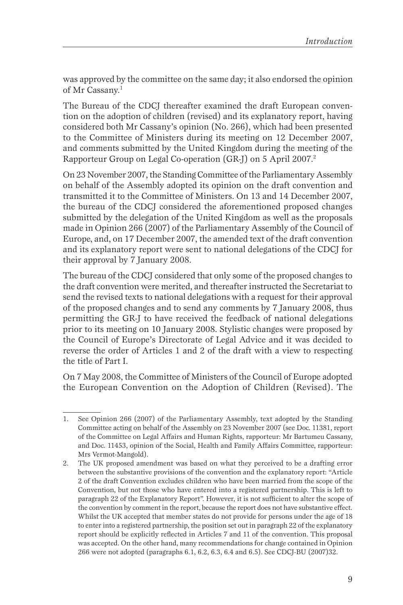was approved by the committee on the same day; it also endorsed the opinion of Mr Cassany.<sup>1</sup>

The Bureau of the CDCJ thereafter examined the draft European convention on the adoption of children (revised) and its explanatory report, having considered both Mr Cassany's opinion (No. 266), which had been presented to the Committee of Ministers during its meeting on 12 December 2007, and comments submitted by the United Kingdom during the meeting of the Rapporteur Group on Legal Co-operation (GR-J) on 5 April 2007.<sup>2</sup>

On 23 November 2007, the Standing Committee of the Parliamentary Assembly on behalf of the Assembly adopted its opinion on the draft convention and transmitted it to the Committee of Ministers. On 13 and 14 December 2007, the bureau of the CDCJ considered the aforementioned proposed changes submitted by the delegation of the United Kingdom as well as the proposals made in Opinion 266 (2007) of the Parliamentary Assembly of the Council of Europe, and, on 17 December 2007, the amended text of the draft convention and its explanatory report were sent to national delegations of the CDCJ for their approval by 7 January 2008.

The bureau of the CDCJ considered that only some of the proposed changes to the draft convention were merited, and thereafter instructed the Secretariat to send the revised texts to national delegations with a request for their approval of the proposed changes and to send any comments by 7 January 2008, thus permitting the GR-J to have received the feedback of national delegations prior to its meeting on 10 January 2008. Stylistic changes were proposed by the Council of Europe's Directorate of Legal Advice and it was decided to reverse the order of Articles 1 and 2 of the draft with a view to respecting the title of Part I.

On 7 May 2008, the Committee of Ministers of the Council of Europe adopted the European Convention on the Adoption of Children (Revised). The

<sup>1.</sup> See Opinion 266 (2007) of the Parliamentary Assembly, text adopted by the Standing Committee acting on behalf of the Assembly on 23 November 2007 (see Doc. 11381, report of the Committee on Legal Affairs and Human Rights, rapporteur: Mr Bartumeu Cassany, and Doc. 11453, opinion of the Social, Health and Family Affairs Committee, rapporteur: Mrs Vermot-Mangold).

<sup>2.</sup> The UK proposed amendment was based on what they perceived to be a drafting error between the substantive provisions of the convention and the explanatory report: "Article 2 of the draft Convention excludes children who have been married from the scope of the Convention, but not those who have entered into a registered partnership. This is left to paragraph 22 of the Explanatory Report". However, it is not sufficient to alter the scope of the convention by comment in the report, because the report does not have substantive effect. Whilst the UK accepted that member states do not provide for persons under the age of 18 to enter into a registered partnership, the position set out in paragraph 22 of the explanatory report should be explicitly refected in Articles 7 and 11 of the convention. This proposal was accepted. On the other hand, many recommendations for change contained in Opinion 266 were not adopted (paragraphs 6.1, 6.2, 6.3, 6.4 and 6.5). See CDCJ-BU (2007) 32.